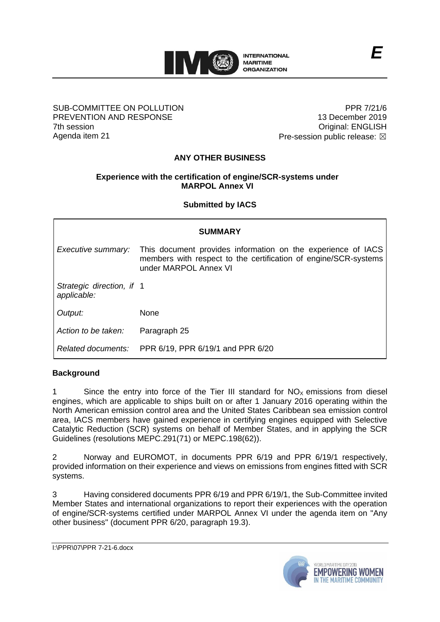

#### SUB-COMMITTEE ON POLLUTION PREVENTION AND RESPONSE 7th session Agenda item 21

PPR 7/21/6 13 December 2019 Original: ENGLISH Pre-session public release:  $\boxtimes$ 

# **ANY OTHER BUSINESS**

### **Experience with the certification of engine/SCR-systems under MARPOL Annex VI**

### **Submitted by IACS**

| <b>SUMMARY</b>                           |                                                                                                                                                          |
|------------------------------------------|----------------------------------------------------------------------------------------------------------------------------------------------------------|
| Executive summary:                       | This document provides information on the experience of IACS<br>members with respect to the certification of engine/SCR-systems<br>under MARPOL Annex VI |
| Strategic direction, if 1<br>applicable: |                                                                                                                                                          |
| Output:                                  | None                                                                                                                                                     |
| Action to be taken:                      | Paragraph 25                                                                                                                                             |
|                                          | Related documents: PPR 6/19, PPR 6/19/1 and PPR 6/20                                                                                                     |

### **Background**

1 Since the entry into force of the Tier III standard for  $NO<sub>X</sub>$  emissions from diesel engines, which are applicable to ships built on or after 1 January 2016 operating within the North American emission control area and the United States Caribbean sea emission control area, IACS members have gained experience in certifying engines equipped with Selective Catalytic Reduction (SCR) systems on behalf of Member States, and in applying the SCR Guidelines (resolutions MEPC.291(71) or MEPC.198(62)).

2 Norway and EUROMOT, in documents PPR 6/19 and PPR 6/19/1 respectively, provided information on their experience and views on emissions from engines fitted with SCR systems.

3 Having considered documents PPR 6/19 and PPR 6/19/1, the Sub-Committee invited Member States and international organizations to report their experiences with the operation of engine/SCR-systems certified under MARPOL Annex VI under the agenda item on "Any other business" (document PPR 6/20, paragraph 19.3).

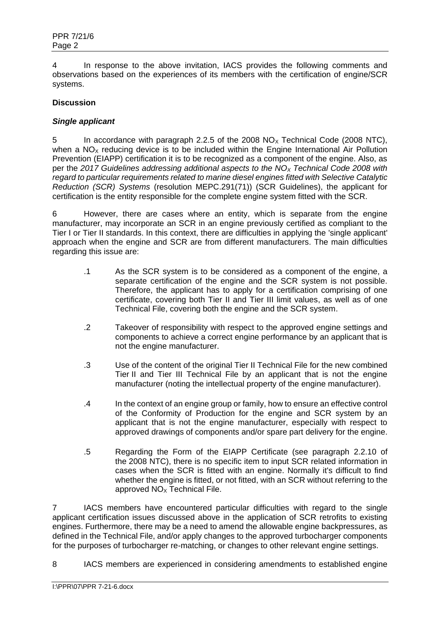4 In response to the above invitation, IACS provides the following comments and observations based on the experiences of its members with the certification of engine/SCR systems.

### **Discussion**

### *Single applicant*

5 In accordance with paragraph 2.2.5 of the 2008  $NO<sub>x</sub>$  Technical Code (2008 NTC), when a  $NO<sub>x</sub>$  reducing device is to be included within the Engine International Air Pollution Prevention (EIAPP) certification it is to be recognized as a component of the engine. Also, as per the *2017 Guidelines addressing additional aspects to the NO<sup>X</sup> Technical Code 2008 with regard to particular requirements related to marine diesel engines fitted with Selective Catalytic Reduction (SCR) Systems* (resolution MEPC.291(71)) (SCR Guidelines), the applicant for certification is the entity responsible for the complete engine system fitted with the SCR.

6 However, there are cases where an entity, which is separate from the engine manufacturer, may incorporate an SCR in an engine previously certified as compliant to the Tier I or Tier II standards. In this context, there are difficulties in applying the 'single applicant' approach when the engine and SCR are from different manufacturers. The main difficulties regarding this issue are:

- .1 As the SCR system is to be considered as a component of the engine, a separate certification of the engine and the SCR system is not possible. Therefore, the applicant has to apply for a certification comprising of one certificate, covering both Tier II and Tier III limit values, as well as of one Technical File, covering both the engine and the SCR system.
- .2 Takeover of responsibility with respect to the approved engine settings and components to achieve a correct engine performance by an applicant that is not the engine manufacturer.
- .3 Use of the content of the original Tier II Technical File for the new combined Tier II and Tier III Technical File by an applicant that is not the engine manufacturer (noting the intellectual property of the engine manufacturer).
- .4 In the context of an engine group or family, how to ensure an effective control of the Conformity of Production for the engine and SCR system by an applicant that is not the engine manufacturer, especially with respect to approved drawings of components and/or spare part delivery for the engine.
- .5 Regarding the Form of the EIAPP Certificate (see paragraph 2.2.10 of the 2008 NTC), there is no specific item to input SCR related information in cases when the SCR is fitted with an engine. Normally it's difficult to find whether the engine is fitted, or not fitted, with an SCR without referring to the approved  $NO<sub>x</sub>$  Technical File.

7 IACS members have encountered particular difficulties with regard to the single applicant certification issues discussed above in the application of SCR retrofits to existing engines. Furthermore, there may be a need to amend the allowable engine backpressures, as defined in the Technical File, and/or apply changes to the approved turbocharger components for the purposes of turbocharger re-matching, or changes to other relevant engine settings.

8 IACS members are experienced in considering amendments to established engine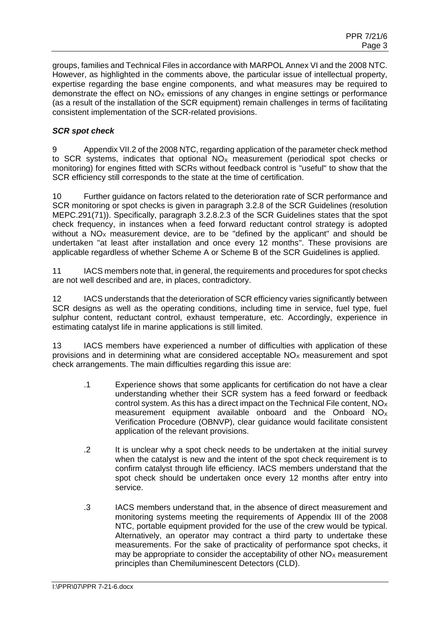groups, families and Technical Files in accordance with MARPOL Annex VI and the 2008 NTC. However, as highlighted in the comments above, the particular issue of intellectual property, expertise regarding the base engine components, and what measures may be required to demonstrate the effect on  $NO<sub>X</sub>$  emissions of any changes in engine settings or performance (as a result of the installation of the SCR equipment) remain challenges in terms of facilitating consistent implementation of the SCR-related provisions.

### *SCR spot check*

9 Appendix VII.2 of the 2008 NTC, regarding application of the parameter check method to SCR systems, indicates that optional  $NO<sub>x</sub>$  measurement (periodical spot checks or monitoring) for engines fitted with SCRs without feedback control is "useful" to show that the SCR efficiency still corresponds to the state at the time of certification.

10 Further guidance on factors related to the deterioration rate of SCR performance and SCR monitoring or spot checks is given in paragraph 3.2.8 of the SCR Guidelines (resolution MEPC.291(71)). Specifically, paragraph 3.2.8.2.3 of the SCR Guidelines states that the spot check frequency, in instances when a feed forward reductant control strategy is adopted without a  $NO<sub>x</sub>$  measurement device, are to be "defined by the applicant" and should be undertaken "at least after installation and once every 12 months". These provisions are applicable regardless of whether Scheme A or Scheme B of the SCR Guidelines is applied.

11 IACS members note that, in general, the requirements and procedures for spot checks are not well described and are, in places, contradictory.

12 IACS understands that the deterioration of SCR efficiency varies significantly between SCR designs as well as the operating conditions, including time in service, fuel type, fuel sulphur content, reductant control, exhaust temperature, etc. Accordingly, experience in estimating catalyst life in marine applications is still limited.

13 IACS members have experienced a number of difficulties with application of these provisions and in determining what are considered acceptable  $NO<sub>X</sub>$  measurement and spot check arrangements. The main difficulties regarding this issue are:

- .1 Experience shows that some applicants for certification do not have a clear understanding whether their SCR system has a feed forward or feedback control system. As this has a direct impact on the Technical File content,  $NO<sub>x</sub>$ measurement equipment available onboard and the Onboard  $NO<sub>x</sub>$ Verification Procedure (OBNVP), clear guidance would facilitate consistent application of the relevant provisions.
- .2 It is unclear why a spot check needs to be undertaken at the initial survey when the catalyst is new and the intent of the spot check requirement is to confirm catalyst through life efficiency. IACS members understand that the spot check should be undertaken once every 12 months after entry into service.
- .3 IACS members understand that, in the absence of direct measurement and monitoring systems meeting the requirements of Appendix III of the 2008 NTC, portable equipment provided for the use of the crew would be typical. Alternatively, an operator may contract a third party to undertake these measurements. For the sake of practicality of performance spot checks, it may be appropriate to consider the acceptability of other  $NO<sub>x</sub>$  measurement principles than Chemiluminescent Detectors (CLD).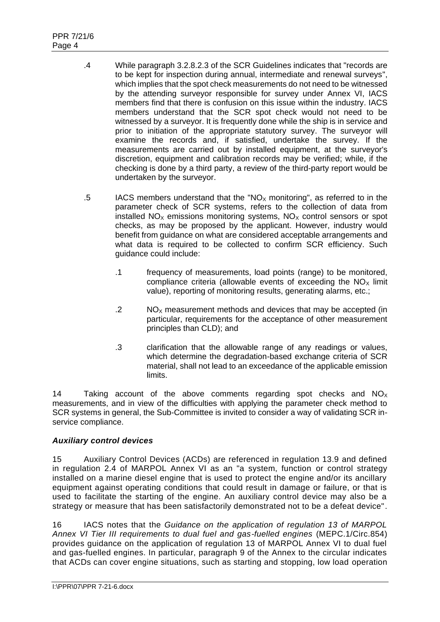- .4 While paragraph 3.2.8.2.3 of the SCR Guidelines indicates that "records are to be kept for inspection during annual, intermediate and renewal surveys", which implies that the spot check measurements do not need to be witnessed by the attending surveyor responsible for survey under Annex VI, IACS members find that there is confusion on this issue within the industry. IACS members understand that the SCR spot check would not need to be witnessed by a surveyor. It is frequently done while the ship is in service and prior to initiation of the appropriate statutory survey. The surveyor will examine the records and, if satisfied, undertake the survey. If the measurements are carried out by installed equipment, at the surveyor's discretion, equipment and calibration records may be verified; while, if the checking is done by a third party, a review of the third-party report would be undertaken by the surveyor.
- .5 IACS members understand that the "NO<sub>X</sub> monitoring", as referred to in the parameter check of SCR systems, refers to the collection of data from installed  $NO<sub>x</sub>$  emissions monitoring systems,  $NO<sub>x</sub>$  control sensors or spot checks, as may be proposed by the applicant. However, industry would benefit from guidance on what are considered acceptable arrangements and what data is required to be collected to confirm SCR efficiency. Such guidance could include:
	- .1 frequency of measurements, load points (range) to be monitored, compliance criteria (allowable events of exceeding the  $NO<sub>x</sub>$  limit value), reporting of monitoring results, generating alarms, etc.;
	- $.2 \text{ NO}_X$  measurement methods and devices that may be accepted (in particular, requirements for the acceptance of other measurement principles than CLD); and
	- .3 clarification that the allowable range of any readings or values, which determine the degradation-based exchange criteria of SCR material, shall not lead to an exceedance of the applicable emission limits.

14 Taking account of the above comments regarding spot checks and  $NO<sub>x</sub>$ measurements, and in view of the difficulties with applying the parameter check method to SCR systems in general, the Sub-Committee is invited to consider a way of validating SCR inservice compliance.

# *Auxiliary control devices*

15 Auxiliary Control Devices (ACDs) are referenced in regulation 13.9 and defined in regulation 2.4 of MARPOL Annex VI as an "a system, function or control strategy installed on a marine diesel engine that is used to protect the engine and/or its ancillary equipment against operating conditions that could result in damage or failure, or that is used to facilitate the starting of the engine. An auxiliary control device may also be a strategy or measure that has been satisfactorily demonstrated not to be a defeat device".

16 IACS notes that the *Guidance on the application of regulation 13 of MARPOL Annex VI Tier III requirements to dual fuel and gas-fuelled engines* (MEPC.1/Circ.854) provides guidance on the application of regulation 13 of MARPOL Annex VI to dual fuel and gas-fuelled engines. In particular, paragraph 9 of the Annex to the circular indicates that ACDs can cover engine situations, such as starting and stopping, low load operation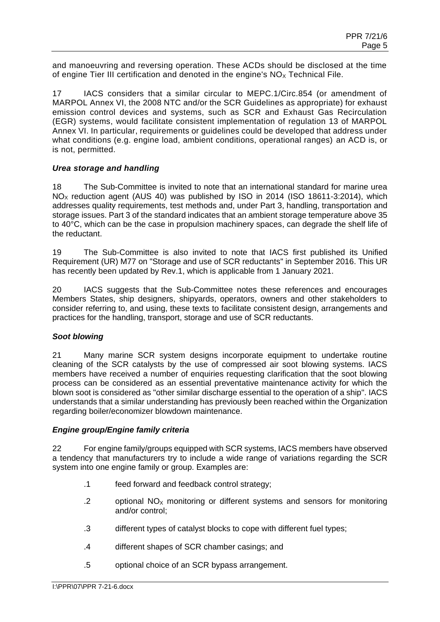and manoeuvring and reversing operation. These ACDs should be disclosed at the time of engine Tier III certification and denoted in the engine's  $NO<sub>x</sub>$  Technical File.

17 IACS considers that a similar circular to MEPC.1/Circ.854 (or amendment of MARPOL Annex VI, the 2008 NTC and/or the SCR Guidelines as appropriate) for exhaust emission control devices and systems, such as SCR and Exhaust Gas Recirculation (EGR) systems, would facilitate consistent implementation of regulation 13 of MARPOL Annex VI. In particular, requirements or guidelines could be developed that address under what conditions (e.g. engine load, ambient conditions, operational ranges) an ACD is, or is not, permitted.

### *Urea storage and handling*

18 The Sub-Committee is invited to note that an international standard for marine urea NO<sub>x</sub> reduction agent (AUS 40) was published by ISO in 2014 (ISO 18611-3:2014), which addresses quality requirements, test methods and, under Part 3, handling, transportation and storage issues. Part 3 of the standard indicates that an ambient storage temperature above 35 to 40°C, which can be the case in propulsion machinery spaces, can degrade the shelf life of the reductant.

19 The Sub-Committee is also invited to note that IACS first published its Unified Requirement (UR) M77 on "Storage and use of SCR reductants" in September 2016. This UR has recently been updated by Rev.1, which is applicable from 1 January 2021.

20 IACS suggests that the Sub-Committee notes these references and encourages Members States, ship designers, shipyards, operators, owners and other stakeholders to consider referring to, and using, these texts to facilitate consistent design, arrangements and practices for the handling, transport, storage and use of SCR reductants.

# *Soot blowing*

21 Many marine SCR system designs incorporate equipment to undertake routine cleaning of the SCR catalysts by the use of compressed air soot blowing systems. IACS members have received a number of enquiries requesting clarification that the soot blowing process can be considered as an essential preventative maintenance activity for which the blown soot is considered as "other similar discharge essential to the operation of a ship". IACS understands that a similar understanding has previously been reached within the Organization regarding boiler/economizer blowdown maintenance.

### *Engine group/Engine family criteria*

22 For engine family/groups equipped with SCR systems, IACS members have observed a tendency that manufacturers try to include a wide range of variations regarding the SCR system into one engine family or group. Examples are:

- .1 feed forward and feedback control strategy;
- .2 optional  $NO<sub>x</sub>$  monitoring or different systems and sensors for monitoring and/or control;
- .3 different types of catalyst blocks to cope with different fuel types;
- .4 different shapes of SCR chamber casings; and
- .5 optional choice of an SCR bypass arrangement.